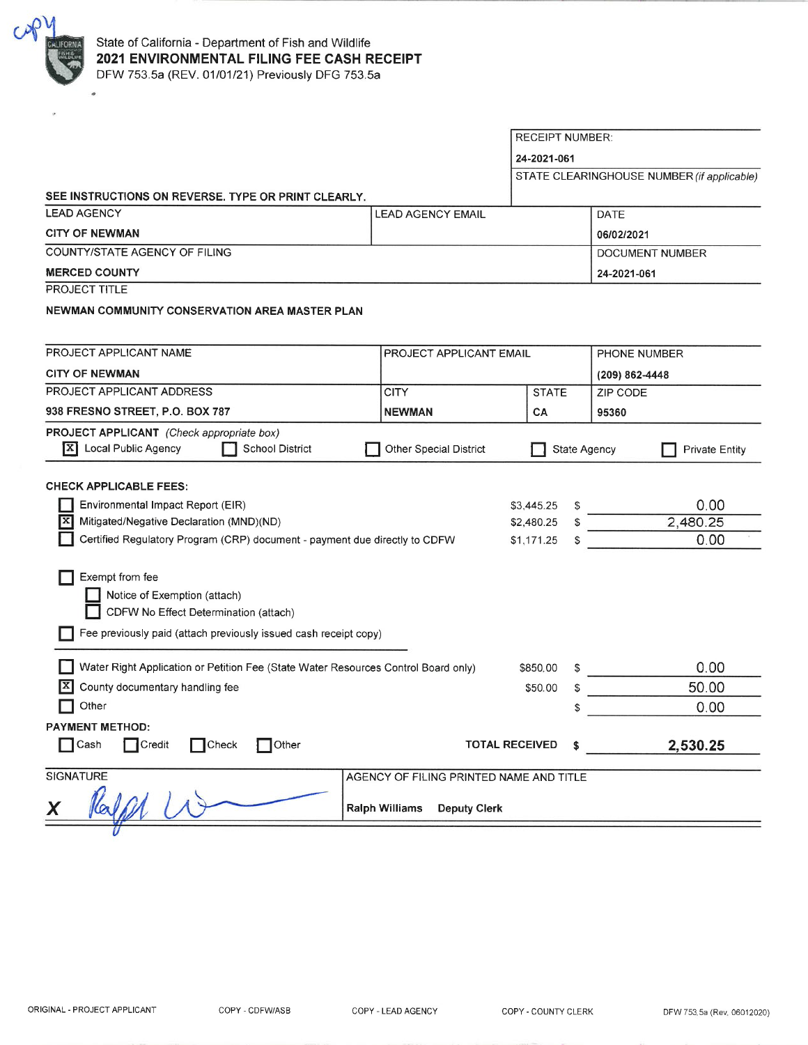

|                                                                                    |                                         | <b>RECEIPT NUMBER:</b> |             |                |                                            |  |
|------------------------------------------------------------------------------------|-----------------------------------------|------------------------|-------------|----------------|--------------------------------------------|--|
|                                                                                    |                                         |                        | 24-2021-061 |                |                                            |  |
|                                                                                    |                                         |                        |             |                | STATE CLEARINGHOUSE NUMBER (if applicable) |  |
| SEE INSTRUCTIONS ON REVERSE. TYPE OR PRINT CLEARLY.                                |                                         |                        |             |                |                                            |  |
| <b>LEAD AGENCY</b>                                                                 | <b>LEAD AGENCY EMAIL</b>                |                        |             | <b>DATE</b>    |                                            |  |
| <b>CITY OF NEWMAN</b>                                                              |                                         |                        |             | 06/02/2021     |                                            |  |
| COUNTY/STATE AGENCY OF FILING                                                      |                                         |                        |             |                | DOCUMENT NUMBER                            |  |
| <b>MERCED COUNTY</b>                                                               |                                         |                        |             |                | 24-2021-061                                |  |
| PROJECT TITLE                                                                      |                                         |                        |             |                |                                            |  |
| NEWMAN COMMUNITY CONSERVATION AREA MASTER PLAN                                     |                                         |                        |             |                |                                            |  |
|                                                                                    |                                         |                        |             |                |                                            |  |
| PROJECT APPLICANT NAME<br>PROJECT APPLICANT EMAIL                                  |                                         |                        |             | PHONE NUMBER   |                                            |  |
| <b>CITY OF NEWMAN</b>                                                              |                                         |                        |             | (209) 862-4448 |                                            |  |
| PROJECT APPLICANT ADDRESS                                                          | <b>CITY</b>                             | <b>STATE</b>           |             | ZIP CODE       |                                            |  |
| 938 FRESNO STREET, P.O. BOX 787                                                    | <b>NEWMAN</b>                           | СA                     |             | 95360          |                                            |  |
| <b>PROJECT APPLICANT</b> (Check appropriate box)                                   |                                         |                        |             |                |                                            |  |
| Local Public Agency<br>1X I<br>School District                                     | Other Special District                  |                        |             | State Agency   | <b>Private Entity</b>                      |  |
|                                                                                    |                                         |                        |             |                |                                            |  |
| <b>CHECK APPLICABLE FEES:</b>                                                      |                                         |                        |             |                |                                            |  |
| Environmental Impact Report (EIR)                                                  |                                         | \$3,445.25             | S           |                | 0.00                                       |  |
| Mitigated/Negative Declaration (MND)(ND)                                           |                                         | \$2,480.25             | \$          |                | 2,480.25                                   |  |
| Certified Regulatory Program (CRP) document - payment due directly to CDFW         |                                         | \$1,171.25             | \$          |                | 0.00                                       |  |
|                                                                                    |                                         |                        |             |                |                                            |  |
| Exempt from fee                                                                    |                                         |                        |             |                |                                            |  |
| Notice of Exemption (attach)<br>CDFW No Effect Determination (attach)              |                                         |                        |             |                |                                            |  |
|                                                                                    |                                         |                        |             |                |                                            |  |
| Fee previously paid (attach previously issued cash receipt copy)                   |                                         |                        |             |                |                                            |  |
| Water Right Application or Petition Fee (State Water Resources Control Board only) |                                         | \$850.00               | S           |                | 0.00                                       |  |
| County documentary handling fee                                                    |                                         | \$50.00                | \$          |                | 50.00                                      |  |
| Other                                                                              |                                         |                        | \$          |                | 0.00                                       |  |
| <b>PAYMENT METHOD:</b>                                                             |                                         |                        |             |                |                                            |  |
| $\Box$ Cash<br>$\Box$ Credit<br>$\mathsf{T}$ Other<br>$\bigcap$ Check              |                                         | <b>TOTAL RECEIVED</b>  | \$          |                | 2,530.25                                   |  |
|                                                                                    |                                         |                        |             |                |                                            |  |
| <b>SIGNATURE</b>                                                                   | AGENCY OF FILING PRINTED NAME AND TITLE |                        |             |                |                                            |  |
| <b>Ralph Williams</b><br><b>Deputy Clerk</b>                                       |                                         |                        |             |                |                                            |  |
|                                                                                    |                                         |                        |             |                |                                            |  |
|                                                                                    |                                         |                        |             |                |                                            |  |

COPY - CDFW/ASB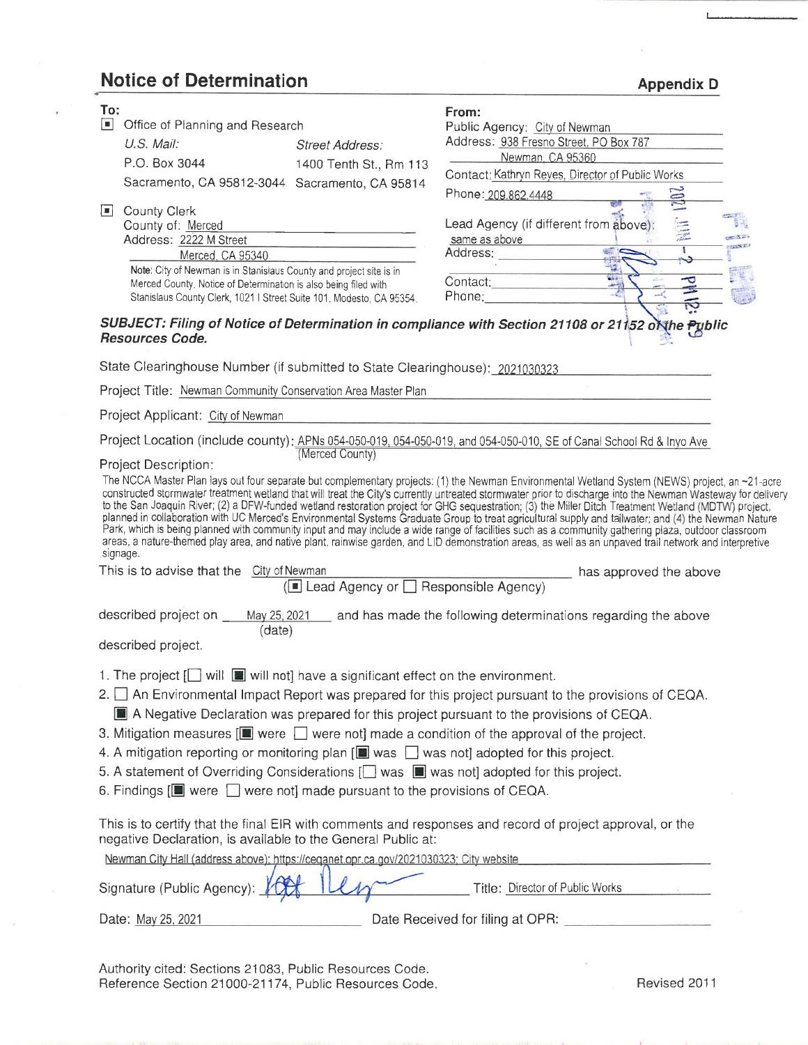## **Notice of Determination**

| To:<br>n.<br>$\Box$                                                                                                          | Office of Planning and Research<br>U.S. Mail:<br>P.O. Box 3044<br>Sacramento, CA 95812-3044 Sacramento, CA 95814<br><b>County Clerk</b><br>County of: Merced<br>Address: 2222 M Street<br>Merced, CA 95340                                                    | Street Address:<br>1400 Tenth St., Rm 113             | From:<br>Public Agency: City of Newman<br>Address: 938 Fresno Street, PO Box 787<br>Newman, CA 95360<br>Contact: Kathryn Reyes, Director of Public Works<br><b>POR</b><br>Phone: 209.862.4448<br><b>The American</b><br>Lead Agency (if different from above):<br>same as above<br><b>COLLEGE AND</b><br>$\frac{1}{2}$<br>т<br>Address:                                                                                                                                                                                                                                                                                                                                                                                                                                                                                                                                                                                                                                   |  |  |  |  |  |  |
|------------------------------------------------------------------------------------------------------------------------------|---------------------------------------------------------------------------------------------------------------------------------------------------------------------------------------------------------------------------------------------------------------|-------------------------------------------------------|---------------------------------------------------------------------------------------------------------------------------------------------------------------------------------------------------------------------------------------------------------------------------------------------------------------------------------------------------------------------------------------------------------------------------------------------------------------------------------------------------------------------------------------------------------------------------------------------------------------------------------------------------------------------------------------------------------------------------------------------------------------------------------------------------------------------------------------------------------------------------------------------------------------------------------------------------------------------------|--|--|--|--|--|--|
|                                                                                                                              | Note: City of Newman is in Stanislaus County and project site is in<br>Merced County. Notice of Determination is also being filed with<br>Stanislaus County Clerk, 1021   Street Suite 101, Modesto, CA 95354.                                                |                                                       | Contact:<br>ᅮ<br>Phone: and the contract of the contract of the contract of the contract of the contract of the contract of the                                                                                                                                                                                                                                                                                                                                                                                                                                                                                                                                                                                                                                                                                                                                                                                                                                           |  |  |  |  |  |  |
| SUBJECT: Filing of Notice of Determination in compliance with Section 21108 or 21152 of the Public<br><b>Resources Code.</b> |                                                                                                                                                                                                                                                               |                                                       |                                                                                                                                                                                                                                                                                                                                                                                                                                                                                                                                                                                                                                                                                                                                                                                                                                                                                                                                                                           |  |  |  |  |  |  |
|                                                                                                                              | State Clearinghouse Number (if submitted to State Clearinghouse): 2021030323                                                                                                                                                                                  |                                                       |                                                                                                                                                                                                                                                                                                                                                                                                                                                                                                                                                                                                                                                                                                                                                                                                                                                                                                                                                                           |  |  |  |  |  |  |
|                                                                                                                              | Project Title: Newman Community Conservation Area Master Plan                                                                                                                                                                                                 |                                                       |                                                                                                                                                                                                                                                                                                                                                                                                                                                                                                                                                                                                                                                                                                                                                                                                                                                                                                                                                                           |  |  |  |  |  |  |
|                                                                                                                              | Project Applicant: City of Newman                                                                                                                                                                                                                             |                                                       |                                                                                                                                                                                                                                                                                                                                                                                                                                                                                                                                                                                                                                                                                                                                                                                                                                                                                                                                                                           |  |  |  |  |  |  |
|                                                                                                                              |                                                                                                                                                                                                                                                               |                                                       | Project Location (include county): APNs 054-050-019, 054-050-019, and 054-050-010, SE of Canal School Rd & Inyo Ave                                                                                                                                                                                                                                                                                                                                                                                                                                                                                                                                                                                                                                                                                                                                                                                                                                                       |  |  |  |  |  |  |
|                                                                                                                              | Project Description:<br>signage.<br>This is to advise that the City of Newman                                                                                                                                                                                 | (Merced County)<br>Lead Agency or Sesponsible Agency) | The NCCA Master Plan lays out four separate but complementary projects: (1) the Newman Environmental Wetland System (NEWS) project, an ~21-acre<br>constructed stormwater treatment wetland that will treat the City's currently untreated stormwater prior to discharge into the Newman Wasteway for delivery<br>to the San Joaquin River; (2) a DFW-funded wetland restoration project for GHG sequestration; (3) the Miller Ditch Treatment Wetland (MDTW) project,<br>planned in collaboration with UC Merced's Environmental Systems Graduate Group to treat agricultural supply and tailwater; and (4) the Newman Nature<br>Park, which is being planned with community input and may include a wide range of facilities such as a community gathering plaza, outdoor classroom<br>areas, a nature-themed play area, and native plant, rainwise garden, and LID demonstration areas, as well as an unpaved trail network and interpretive<br>has approved the above |  |  |  |  |  |  |
|                                                                                                                              |                                                                                                                                                                                                                                                               |                                                       | described project on ____ May 25, 2021 ___ and has made the following determinations regarding the above                                                                                                                                                                                                                                                                                                                                                                                                                                                                                                                                                                                                                                                                                                                                                                                                                                                                  |  |  |  |  |  |  |
|                                                                                                                              | (date)<br>described project.                                                                                                                                                                                                                                  |                                                       |                                                                                                                                                                                                                                                                                                                                                                                                                                                                                                                                                                                                                                                                                                                                                                                                                                                                                                                                                                           |  |  |  |  |  |  |
|                                                                                                                              | 1. The project [ ] will $\blacksquare$ will not] have a significant effect on the environment.<br>6. Findings $[\blacksquare]$ were $\Box$ were not] made pursuant to the provisions of CEQA.<br>negative Declaration, is available to the General Public at: |                                                       | 2. $\Box$ An Environmental Impact Report was prepared for this project pursuant to the provisions of CEQA.<br>A Negative Declaration was prepared for this project pursuant to the provisions of CEQA.<br>3. Mitigation measures $[\blacksquare$ were $\Box$ were not] made a condition of the approval of the project.<br>4. A mitigation reporting or monitoring plan $[\blacksquare]$ was $\blacksquare$ was not] adopted for this project.<br>5. A statement of Overriding Considerations [ ] was s was not] adopted for this project.<br>This is to certify that the final EIR with comments and responses and record of project approval, or the                                                                                                                                                                                                                                                                                                                    |  |  |  |  |  |  |
|                                                                                                                              | Newman City Hall (address above); https://ceqanet.opr.ca.gov/2021030323; City website<br>Signature (Public Agency):                                                                                                                                           |                                                       | Title: Director of Public Works                                                                                                                                                                                                                                                                                                                                                                                                                                                                                                                                                                                                                                                                                                                                                                                                                                                                                                                                           |  |  |  |  |  |  |

Date: May 25, 2021

Date Received for filing at OPR: \_

Authority cited: Sections 21083, Public Resources Code. Reference Section 21000-21174, Public Resources Code.

Revised 2011

**Appendix D**